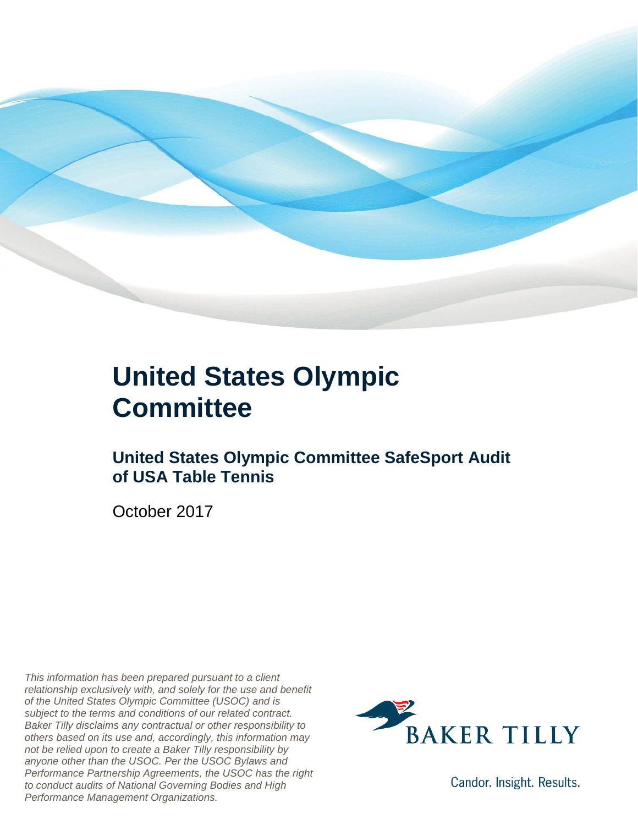

#### **United States Olympic Committee**

#### **United States Olympic Committee SafeSport Audit of USA Table Tennis**

October 2017

*This information has been prepared pursuant to a client relationship exclusively with, and solely for the use and benefit of the United States Olympic Committee (USOC) and is subject to the terms and conditions of our related contract. Baker Tilly disclaims any contractual or other responsibility to others based on its use and, accordingly, this information may not be relied upon to create a Baker Tilly responsibility by anyone other than the USOC. Per the USOC Bylaws and Performance Partnership Agreements, the USOC has the right to conduct audits of National Governing Bodies and High Performance Management Organizations.*



Candor. Insight. Results.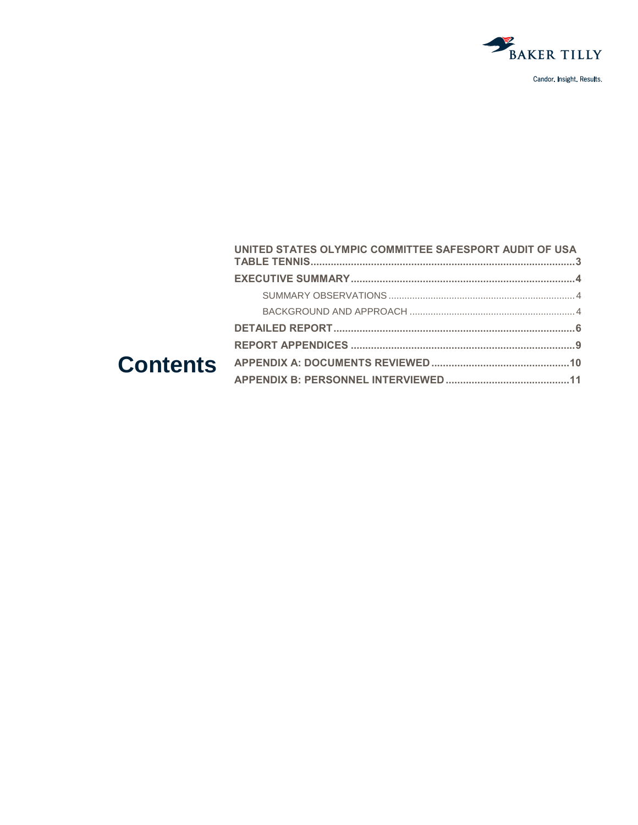

|  | UNITED STATES OLYMPIC COMMITTEE SAFESPORT AUDIT OF USA |  |
|--|--------------------------------------------------------|--|
|  |                                                        |  |
|  |                                                        |  |
|  |                                                        |  |
|  |                                                        |  |
|  |                                                        |  |
|  |                                                        |  |
|  |                                                        |  |
|  |                                                        |  |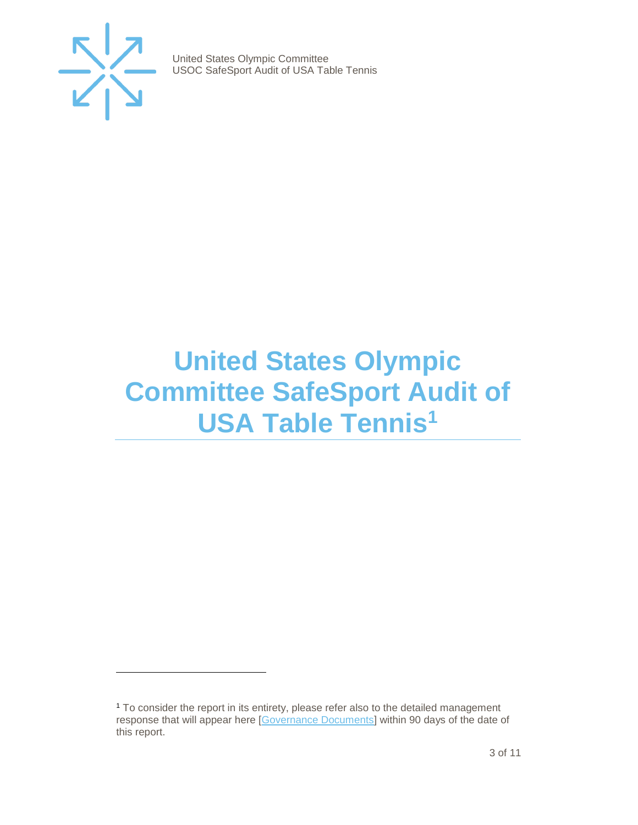

 $\overline{a}$ 

United States Olympic Committee USOC SafeSport Audit of USA Table Tennis

### <span id="page-2-0"></span>**United States Olympic Committee SafeSport Audit of USA Table Tennis<sup>1</sup>**

<sup>1</sup> To consider the report in its entirety, please refer also to the detailed management response that will appear here [\[Governance Documents\]](https://www.teamusa.org/Footer/Legal/Governance-Documents) within 90 days of the date of this report.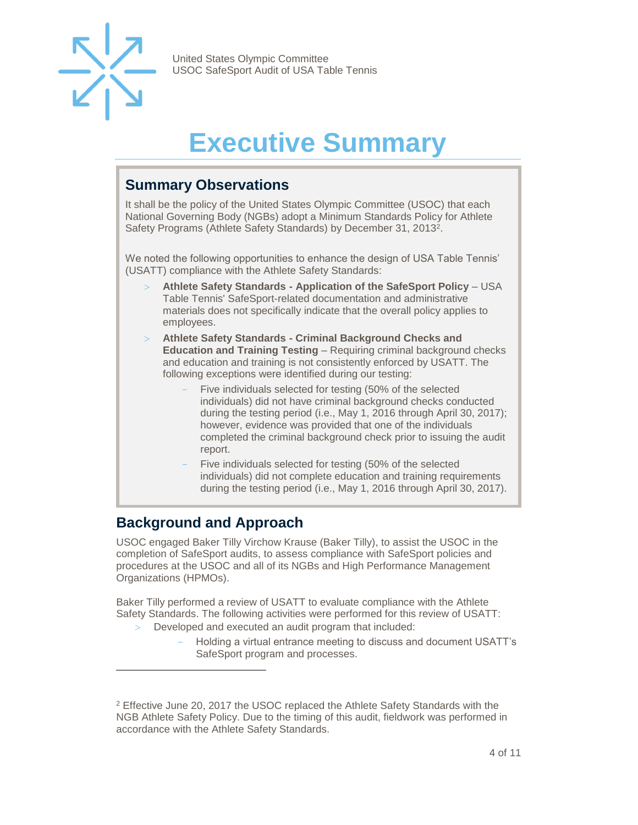

### **Executive Summary**

#### <span id="page-3-1"></span><span id="page-3-0"></span>**Summary Observations**

It shall be the policy of the United States Olympic Committee (USOC) that each National Governing Body (NGBs) adopt a Minimum Standards Policy for Athlete Safety Programs (Athlete Safety Standards) by December 31, 2013<sup>2</sup>.

We noted the following opportunities to enhance the design of USA Table Tennis' (USATT) compliance with the Athlete Safety Standards:

- **Athlete Safety Standards - Application of the SafeSport Policy**  USA Table Tennis' SafeSport-related documentation and administrative materials does not specifically indicate that the overall policy applies to employees.
- **Athlete Safety Standards - Criminal Background Checks and Education and Training Testing** – Requiring criminal background checks and education and training is not consistently enforced by USATT. The following exceptions were identified during our testing:
	- Five individuals selected for testing (50% of the selected individuals) did not have criminal background checks conducted during the testing period (i.e., May 1, 2016 through April 30, 2017); however, evidence was provided that one of the individuals completed the criminal background check prior to issuing the audit report.
	- Five individuals selected for testing (50% of the selected individuals) did not complete education and training requirements during the testing period (i.e., May 1, 2016 through April 30, 2017).

#### <span id="page-3-2"></span>**Background and Approach**

l

USOC engaged Baker Tilly Virchow Krause (Baker Tilly), to assist the USOC in the completion of SafeSport audits, to assess compliance with SafeSport policies and procedures at the USOC and all of its NGBs and High Performance Management Organizations (HPMOs).

Baker Tilly performed a review of USATT to evaluate compliance with the Athlete Safety Standards. The following activities were performed for this review of USATT:

- Developed and executed an audit program that included:
	- Holding a virtual entrance meeting to discuss and document USATT's SafeSport program and processes.

<sup>&</sup>lt;sup>2</sup> Effective June 20, 2017 the USOC replaced the Athlete Safety Standards with the NGB Athlete Safety Policy. Due to the timing of this audit, fieldwork was performed in accordance with the Athlete Safety Standards.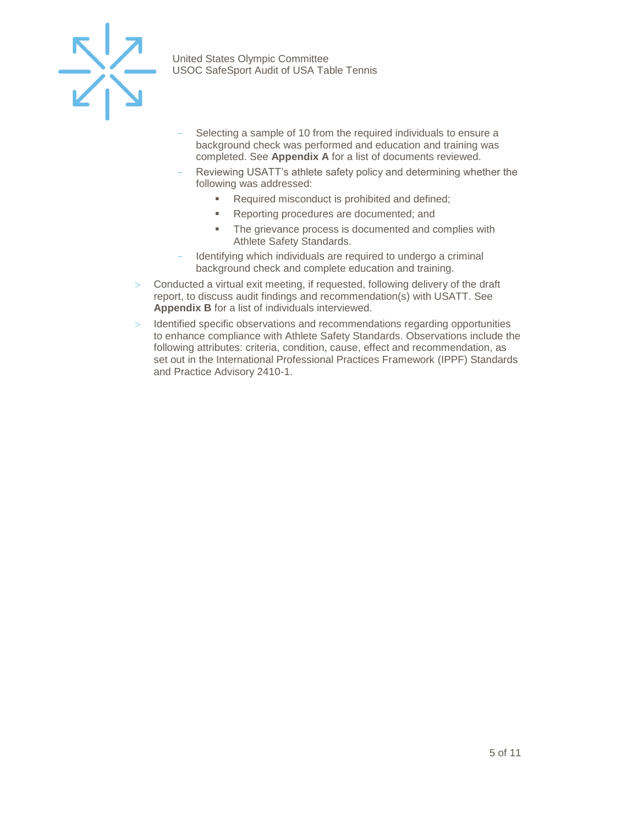

- Selecting a sample of 10 from the required individuals to ensure a background check was performed and education and training was completed. See **Appendix A** for a list of documents reviewed.
- Reviewing USATT's athlete safety policy and determining whether the following was addressed:
	- Required misconduct is prohibited and defined;
	- Reporting procedures are documented; and
	- **The grievance process is documented and complies with** Athlete Safety Standards.
- Identifying which individuals are required to undergo a criminal background check and complete education and training.
- $>$  Conducted a virtual exit meeting, if requested, following delivery of the draft report, to discuss audit findings and recommendation(s) with USATT. See **Appendix B** for a list of individuals interviewed.
- $>$  Identified specific observations and recommendations regarding opportunities to enhance compliance with Athlete Safety Standards. Observations include the following attributes: criteria, condition, cause, effect and recommendation, as set out in the International Professional Practices Framework (IPPF) Standards and Practice Advisory 2410-1.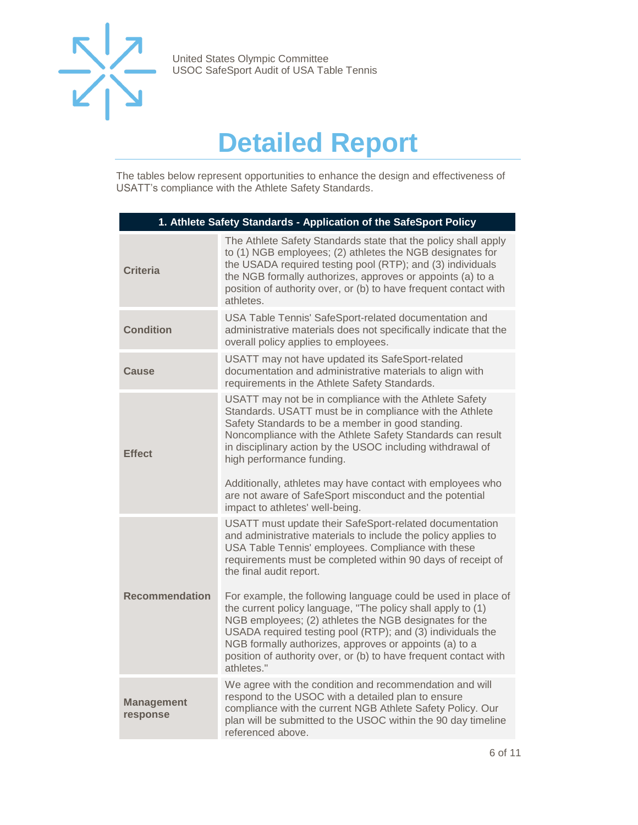

### **Detailed Report**

<span id="page-5-0"></span>The tables below represent opportunities to enhance the design and effectiveness of USATT's compliance with the Athlete Safety Standards.

| 1. Athlete Safety Standards - Application of the SafeSport Policy |                                                                                                                                                                                                                                                                                                                                                                                                                                                                                                                                                                                                                                                                              |  |
|-------------------------------------------------------------------|------------------------------------------------------------------------------------------------------------------------------------------------------------------------------------------------------------------------------------------------------------------------------------------------------------------------------------------------------------------------------------------------------------------------------------------------------------------------------------------------------------------------------------------------------------------------------------------------------------------------------------------------------------------------------|--|
| <b>Criteria</b>                                                   | The Athlete Safety Standards state that the policy shall apply<br>to (1) NGB employees; (2) athletes the NGB designates for<br>the USADA required testing pool (RTP); and (3) individuals<br>the NGB formally authorizes, approves or appoints (a) to a<br>position of authority over, or (b) to have frequent contact with<br>athletes.                                                                                                                                                                                                                                                                                                                                     |  |
| <b>Condition</b>                                                  | USA Table Tennis' SafeSport-related documentation and<br>administrative materials does not specifically indicate that the<br>overall policy applies to employees.                                                                                                                                                                                                                                                                                                                                                                                                                                                                                                            |  |
| Cause                                                             | USATT may not have updated its SafeSport-related<br>documentation and administrative materials to align with<br>requirements in the Athlete Safety Standards.                                                                                                                                                                                                                                                                                                                                                                                                                                                                                                                |  |
| <b>Effect</b>                                                     | USATT may not be in compliance with the Athlete Safety<br>Standards. USATT must be in compliance with the Athlete<br>Safety Standards to be a member in good standing.<br>Noncompliance with the Athlete Safety Standards can result<br>in disciplinary action by the USOC including withdrawal of<br>high performance funding.<br>Additionally, athletes may have contact with employees who<br>are not aware of SafeSport misconduct and the potential<br>impact to athletes' well-being.                                                                                                                                                                                  |  |
| <b>Recommendation</b>                                             | USATT must update their SafeSport-related documentation<br>and administrative materials to include the policy applies to<br>USA Table Tennis' employees. Compliance with these<br>requirements must be completed within 90 days of receipt of<br>the final audit report.<br>For example, the following language could be used in place of<br>the current policy language, "The policy shall apply to (1)<br>NGB employees; (2) athletes the NGB designates for the<br>USADA required testing pool (RTP); and (3) individuals the<br>NGB formally authorizes, approves or appoints (a) to a<br>position of authority over, or (b) to have frequent contact with<br>athletes." |  |
| <b>Management</b><br>response                                     | We agree with the condition and recommendation and will<br>respond to the USOC with a detailed plan to ensure<br>compliance with the current NGB Athlete Safety Policy. Our<br>plan will be submitted to the USOC within the 90 day timeline<br>referenced above.                                                                                                                                                                                                                                                                                                                                                                                                            |  |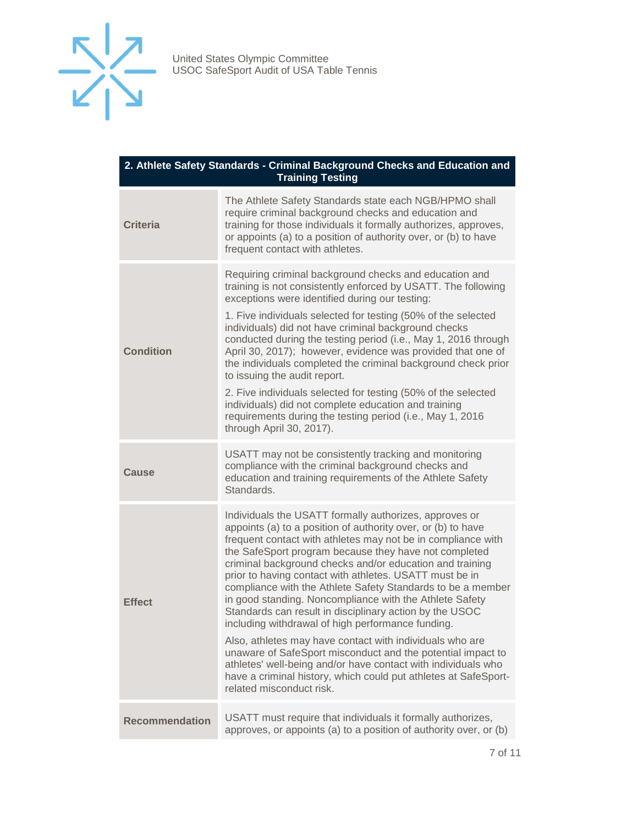

| 2. Athlete Safety Standards - Criminal Background Checks and Education and<br><b>Training Testing</b> |                                                                                                                                                                                                                                                                                                                                                                                                                                                                                                                                                                                                                                                                                                                                                                                                                                                                                                             |  |
|-------------------------------------------------------------------------------------------------------|-------------------------------------------------------------------------------------------------------------------------------------------------------------------------------------------------------------------------------------------------------------------------------------------------------------------------------------------------------------------------------------------------------------------------------------------------------------------------------------------------------------------------------------------------------------------------------------------------------------------------------------------------------------------------------------------------------------------------------------------------------------------------------------------------------------------------------------------------------------------------------------------------------------|--|
| <b>Criteria</b>                                                                                       | The Athlete Safety Standards state each NGB/HPMO shall<br>require criminal background checks and education and<br>training for those individuals it formally authorizes, approves,<br>or appoints (a) to a position of authority over, or (b) to have<br>frequent contact with athletes.                                                                                                                                                                                                                                                                                                                                                                                                                                                                                                                                                                                                                    |  |
| <b>Condition</b>                                                                                      | Requiring criminal background checks and education and<br>training is not consistently enforced by USATT. The following<br>exceptions were identified during our testing:<br>1. Five individuals selected for testing (50% of the selected<br>individuals) did not have criminal background checks<br>conducted during the testing period (i.e., May 1, 2016 through<br>April 30, 2017); however, evidence was provided that one of<br>the individuals completed the criminal background check prior<br>to issuing the audit report.<br>2. Five individuals selected for testing (50% of the selected<br>individuals) did not complete education and training<br>requirements during the testing period (i.e., May 1, 2016<br>through April 30, 2017).                                                                                                                                                      |  |
| <b>Cause</b>                                                                                          | USATT may not be consistently tracking and monitoring<br>compliance with the criminal background checks and<br>education and training requirements of the Athlete Safety<br>Standards.                                                                                                                                                                                                                                                                                                                                                                                                                                                                                                                                                                                                                                                                                                                      |  |
| <b>Effect</b>                                                                                         | Individuals the USATT formally authorizes, approves or<br>appoints (a) to a position of authority over, or (b) to have<br>frequent contact with athletes may not be in compliance with<br>the SafeSport program because they have not completed<br>criminal background checks and/or education and training<br>prior to having contact with athletes. USATT must be in<br>compliance with the Athlete Safety Standards to be a member<br>in good standing. Noncompliance with the Athlete Safety<br>Standards can result in disciplinary action by the USOC<br>including withdrawal of high performance funding.<br>Also, athletes may have contact with individuals who are<br>unaware of SafeSport misconduct and the potential impact to<br>athletes' well-being and/or have contact with individuals who<br>have a criminal history, which could put athletes at SafeSport-<br>related misconduct risk. |  |
| <b>Recommendation</b>                                                                                 | USATT must require that individuals it formally authorizes,<br>approves, or appoints (a) to a position of authority over, or (b)                                                                                                                                                                                                                                                                                                                                                                                                                                                                                                                                                                                                                                                                                                                                                                            |  |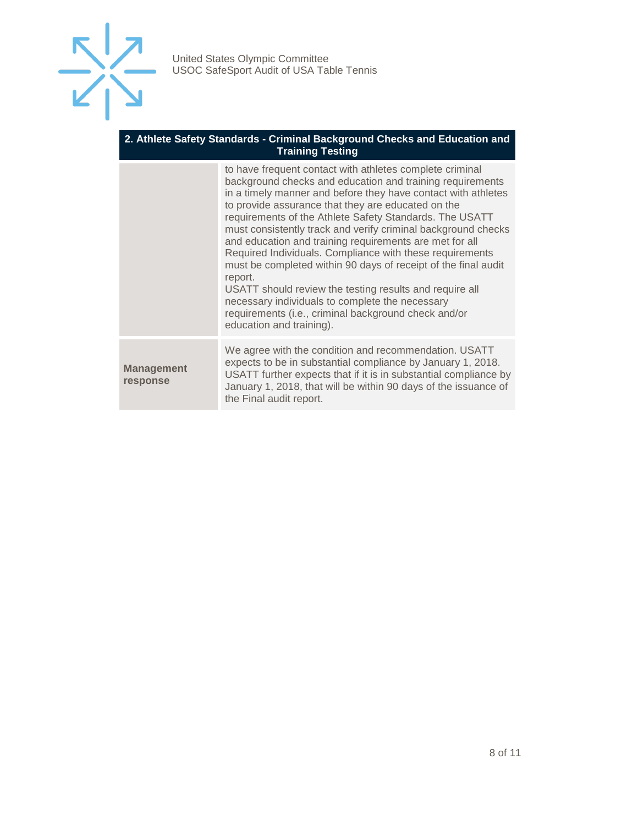

#### **2. Athlete Safety Standards - Criminal Background Checks and Education and Training Testing**

|                               | to have frequent contact with athletes complete criminal<br>background checks and education and training requirements<br>in a timely manner and before they have contact with athletes<br>to provide assurance that they are educated on the<br>requirements of the Athlete Safety Standards. The USATT<br>must consistently track and verify criminal background checks<br>and education and training requirements are met for all<br>Required Individuals. Compliance with these requirements<br>must be completed within 90 days of receipt of the final audit<br>report.<br>USATT should review the testing results and require all<br>necessary individuals to complete the necessary<br>requirements (i.e., criminal background check and/or<br>education and training). |
|-------------------------------|--------------------------------------------------------------------------------------------------------------------------------------------------------------------------------------------------------------------------------------------------------------------------------------------------------------------------------------------------------------------------------------------------------------------------------------------------------------------------------------------------------------------------------------------------------------------------------------------------------------------------------------------------------------------------------------------------------------------------------------------------------------------------------|
| <b>Management</b><br>response | We agree with the condition and recommendation. USATT<br>expects to be in substantial compliance by January 1, 2018.<br>USATT further expects that if it is in substantial compliance by<br>January 1, 2018, that will be within 90 days of the issuance of<br>the Final audit report.                                                                                                                                                                                                                                                                                                                                                                                                                                                                                         |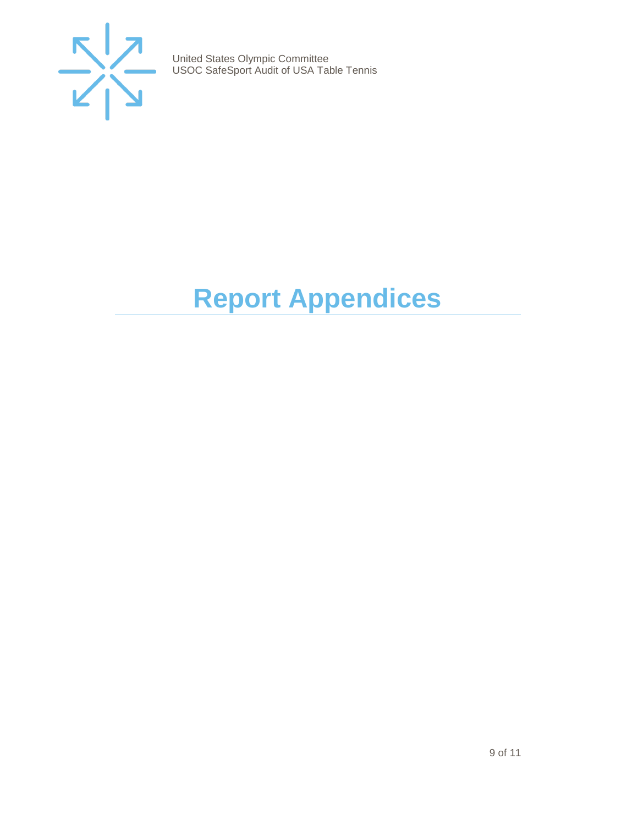

## <span id="page-8-0"></span>**Report Appendices**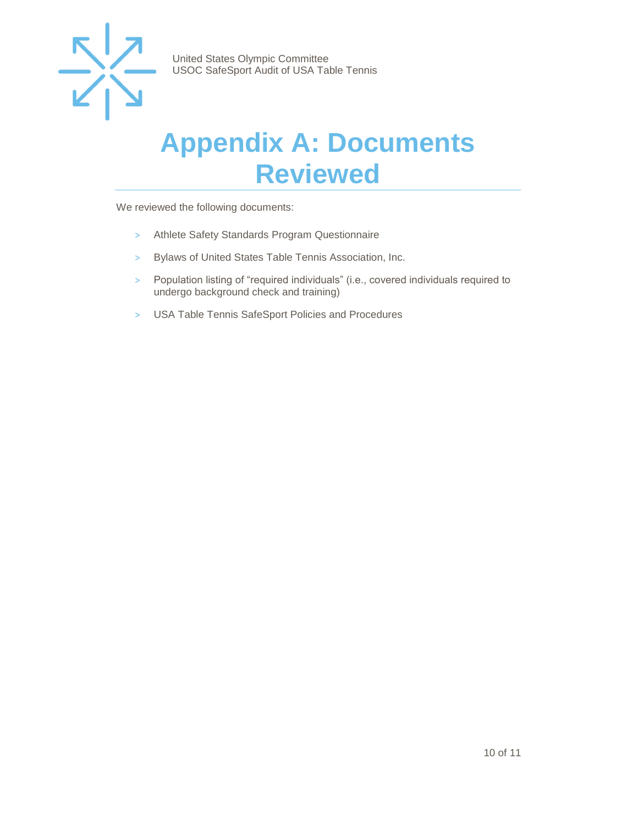

#### <span id="page-9-0"></span>**Appendix A: Documents Reviewed**

We reviewed the following documents:

- > Athlete Safety Standards Program Questionnaire
- > Bylaws of United States Table Tennis Association, Inc.
- > Population listing of "required individuals" (i.e., covered individuals required to undergo background check and training)
- > USA Table Tennis SafeSport Policies and Procedures